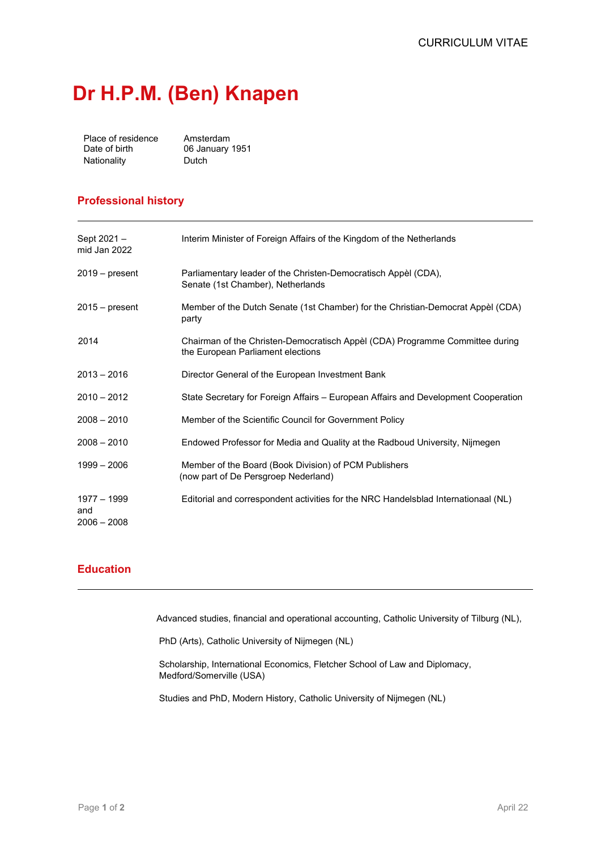# **Dr H.P.M. (Ben) Knapen**

| Place of residence | Amsterdam       |
|--------------------|-----------------|
| Date of birth      | 06 January 1951 |
| Nationality        | Dutch           |

## **Professional history**

| Sept 2021 -<br>mid Jan 2022         | Interim Minister of Foreign Affairs of the Kingdom of the Netherlands                                             |
|-------------------------------------|-------------------------------------------------------------------------------------------------------------------|
| $2019 - present$                    | Parliamentary leader of the Christen-Democratisch Appèl (CDA),<br>Senate (1st Chamber), Netherlands               |
| $2015 - present$                    | Member of the Dutch Senate (1st Chamber) for the Christian-Democrat Appèl (CDA)<br>party                          |
| 2014                                | Chairman of the Christen-Democratisch Appèl (CDA) Programme Committee during<br>the European Parliament elections |
| $2013 - 2016$                       | Director General of the European Investment Bank                                                                  |
| $2010 - 2012$                       | State Secretary for Foreign Affairs – European Affairs and Development Cooperation                                |
| $2008 - 2010$                       | Member of the Scientific Council for Government Policy                                                            |
| $2008 - 2010$                       | Endowed Professor for Media and Quality at the Radboud University, Nijmegen                                       |
| $1999 - 2006$                       | Member of the Board (Book Division) of PCM Publishers<br>(now part of De Persgroep Nederland)                     |
| 1977 - 1999<br>and<br>$2006 - 2008$ | Editorial and correspondent activities for the NRC Handelsblad Internationaal (NL)                                |

### **Education**

Advanced studies, financial and operational accounting, Catholic University of Tilburg (NL),

PhD (Arts), Catholic University of Nijmegen (NL)

Scholarship, International Economics, Fletcher School of Law and Diplomacy, Medford/Somerville (USA)

Studies and PhD, Modern History, Catholic University of Nijmegen (NL)